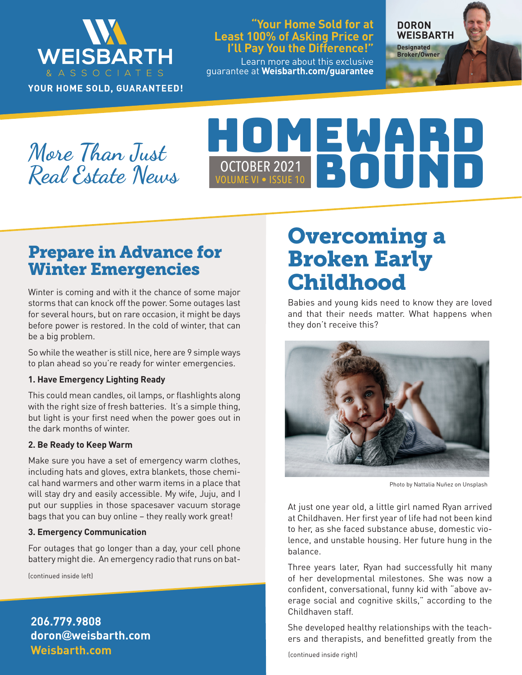

YOUR HOME SOLD, GUARANTEED!

#### **"Your Home Sold for at Least 100% of Asking Price or I'll Pay You the Difference!"**

Learn more about this exclusive guarantee at **Weisbarth.com/guarantee**

**DORON WEISBARTH Designated** 

**Broker/Owner**

**More Than Just Real Estate News**

# HOMEWARD VOLUME VI • ISSUE 10 OCTOBER 2021 BOUNDARY ON THE VISSUE 10

## Prepare in Advance for Winter Emergencies

Winter is coming and with it the chance of some major storms that can knock off the power. Some outages last for several hours, but on rare occasion, it might be days before power is restored. In the cold of winter, that can be a big problem.

So while the weather is still nice, here are 9 simple ways to plan ahead so you're ready for winter emergencies.

#### **1. Have Emergency Lighting Ready**

This could mean candles, oil lamps, or flashlights along with the right size of fresh batteries. It's a simple thing, but light is your first need when the power goes out in the dark months of winter.

#### **2. Be Ready to Keep Warm**

Make sure you have a set of emergency warm clothes, including hats and gloves, extra blankets, those chemical hand warmers and other warm items in a place that will stay dry and easily accessible. My wife, Juju, and I put our supplies in those spacesaver vacuum storage bags that you can buy online – they really work great!

#### **3. Emergency Communication**

For outages that go longer than a day, your cell phone battery might die. An emergency radio that runs on bat-

(continued inside left)

**Weisbarth.com 206.779.9808 doron@weisbarth.com**

## Overcoming a Broken Early **Childhood**

Babies and young kids need to know they are loved and that their needs matter. What happens when they don't receive this?



Photo by Nattalia Nuñez on Unsplash

At just one year old, a little girl named Ryan arrived at Childhaven. Her first year of life had not been kind to her, as she faced substance abuse, domestic violence, and unstable housing. Her future hung in the balance.

Three years later, Ryan had successfully hit many of her developmental milestones. She was now a confident, conversational, funny kid with "above average social and cognitive skills," according to the Childhaven staff.

She developed healthy relationships with the teachers and therapists, and benefitted greatly from the

(continued inside right)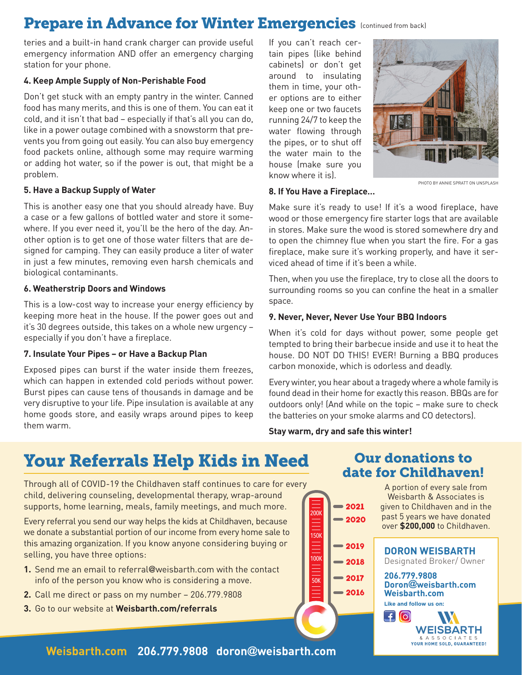## Prepare in Advance for Winter Emergencies (continued from back)

teries and a built-in hand crank charger can provide useful emergency information AND offer an emergency charging station for your phone.

#### **4. Keep Ample Supply of Non-Perishable Food**

Don't get stuck with an empty pantry in the winter. Canned food has many merits, and this is one of them. You can eat it cold, and it isn't that bad – especially if that's all you can do, like in a power outage combined with a snowstorm that prevents you from going out easily. You can also buy emergency food packets online, although some may require warming or adding hot water, so if the power is out, that might be a problem.

#### **5. Have a Backup Supply of Water**

This is another easy one that you should already have. Buy a case or a few gallons of bottled water and store it somewhere. If you ever need it, you'll be the hero of the day. Another option is to get one of those water filters that are designed for camping. They can easily produce a liter of water in just a few minutes, removing even harsh chemicals and biological contaminants.

#### **6. Weatherstrip Doors and Windows**

This is a low-cost way to increase your energy efficiency by keeping more heat in the house. If the power goes out and it's 30 degrees outside, this takes on a whole new urgency – especially if you don't have a fireplace.

#### **7. Insulate Your Pipes – or Have a Backup Plan**

Exposed pipes can burst if the water inside them freezes, which can happen in extended cold periods without power. Burst pipes can cause tens of thousands in damage and be very disruptive to your life. Pipe insulation is available at any home goods store, and easily wraps around pipes to keep them warm.

If you can't reach certain pipes (like behind cabinets) or don't get around to insulating them in time, your other options are to either keep one or two faucets running 24/7 to keep the water flowing through the pipes, or to shut off the water main to the house (make sure you know where it is).



#### PHOTO BY ANNIE SPRATT ON UNSPLASH

#### **8. If You Have a Fireplace…**

Make sure it's ready to use! If it's a wood fireplace, have wood or those emergency fire starter logs that are available in stores. Make sure the wood is stored somewhere dry and to open the chimney flue when you start the fire. For a gas fireplace, make sure it's working properly, and have it serviced ahead of time if it's been a while.

Then, when you use the fireplace, try to close all the doors to surrounding rooms so you can confine the heat in a smaller space.

#### **9. Never, Never, Never Use Your BBQ Indoors**

When it's cold for days without power, some people get tempted to bring their barbecue inside and use it to heat the house. DO NOT DO THIS! EVER! Burning a BBQ produces carbon monoxide, which is odorless and deadly.

Every winter, you hear about a tragedy where a whole family is found dead in their home for exactly this reason. BBQs are for outdoors only! (And while on the topic – make sure to check the batteries on your smoke alarms and CO detectors).

#### **Stay warm, dry and safe this winter!**

**2018 2019**

100K

 $\frac{1}{50K}$ 

150K

 $\equiv$ 

200K

**2017 2016**

**2020 2021**

## Your Referrals Help Kids in Need Our donations to

Through all of COVID-19 the Childhaven staff continues to care for every child, delivering counseling, developmental therapy, wrap-around supports, home learning, meals, family meetings, and much more.

Every referral you send our way helps the kids at Childhaven, because we donate a substantial portion of our income from every home sale to this amazing organization. If you know anyone considering buying or selling, you have three options:

- **1.** Send me an email to referral@weisbarth.com with the contact info of the person you know who is considering a move.
- **2.** Call me direct or pass on my number 206.779.9808
- **3.** Go to our website at **Weisbarth.com/referrals**

date for Childhaven!

A portion of every sale from Weisbarth & Associates is given to Childhaven and in the past 5 years we have donated over **\$200,000** to Childhaven.

**DORON WEISBARTH** Designated Broker/ Owner

**206.779.9808 Doron@weisbarth.com Weisbarth.com Like and follow us on:** 

 $\Box$ [o] **WEISBARTH** & A S S O C I A T E S<br>YOUR HOME SOLD, GUARANTEED!

**Weisbarth.com 206.779.9808 doron@weisbarth.com**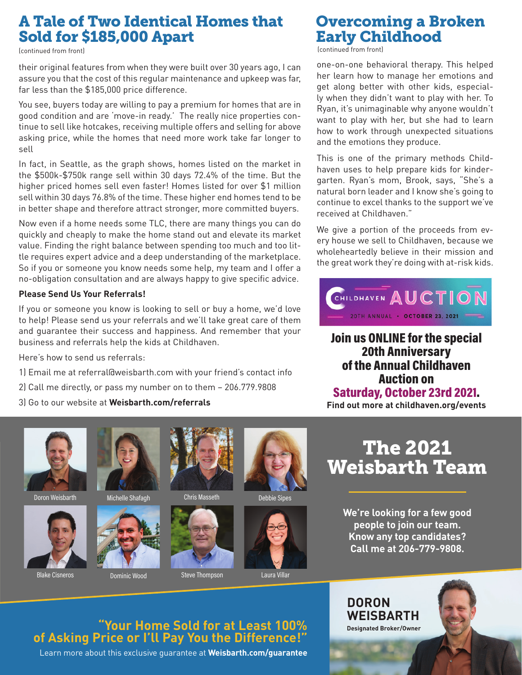## A Tale of Two Identical Homes that Sold for \$185,000 Apart

(continued from front)

their original features from when they were built over 30 years ago, I can assure you that the cost of this regular maintenance and upkeep was far, far less than the \$185,000 price difference.

You see, buyers today are willing to pay a premium for homes that are in good condition and are 'move-in ready.' The really nice properties continue to sell like hotcakes, receiving multiple offers and selling for above asking price, while the homes that need more work take far longer to sell

In fact, in Seattle, as the graph shows, homes listed on the market in the \$500k-\$750k range sell within 30 days 72.4% of the time. But the higher priced homes sell even faster! Homes listed for over \$1 million sell within 30 days 76.8% of the time. These higher end homes tend to be in better shape and therefore attract stronger, more committed buyers.

Now even if a home needs some TLC, there are many things you can do quickly and cheaply to make the home stand out and elevate its market value. Finding the right balance between spending too much and too little requires expert advice and a deep understanding of the marketplace. So if you or someone you know needs some help, my team and I offer a no-obligation consultation and are always happy to give specific advice.

#### **Please Send Us Your Referrals!**

If you or someone you know is looking to sell or buy a home, we'd love to help! Please send us your referrals and we'll take great care of them and guarantee their success and happiness. And remember that your business and referrals help the kids at Childhaven.

Here's how to send us referrals:

- 1) Email me at referral@weisbarth.com with your friend's contact info
- 2) Call me directly, or pass my number on to them 206.779.9808
- 3) Go to our website at **Weisbarth.com/referrals**















Chris Masseth Debbie Sipes



Blake Cisneros **Dominic Wood** Steve Thompson Laura Villar

### Overcoming a Broken Early Childhood

(continued from front)

one-on-one behavioral therapy. This helped her learn how to manage her emotions and get along better with other kids, especially when they didn't want to play with her. To Ryan, it's unimaginable why anyone wouldn't want to play with her, but she had to learn how to work through unexpected situations and the emotions they produce.

This is one of the primary methods Childhaven uses to help prepare kids for kindergarten. Ryan's mom, Brook, says, "She's a natural born leader and I know she's going to continue to excel thanks to the support we've received at Childhaven."

We give a portion of the proceeds from every house we sell to Childhaven, because we wholeheartedly believe in their mission and the great work they're doing with at-risk kids.



Join us ONLINE for the special 20th Anniversary of the Annual Childhaven Auction on Saturday, October 23rd 2021. **Find out more at childhaven.org/events**

The 2021 Weisbarth Team

> **We're looking for a few good people to join our team. Know any top candidates? Call me at 206-779-9808.**

**DORON** 

**WEISBARTH Designated Broker/Owner**

### **"Your Home Sold for at Least 100% of Asking Price or I'll Pay You the Difference!"**

Learn more about this exclusive guarantee at **Weisbarth.com/guarantee**